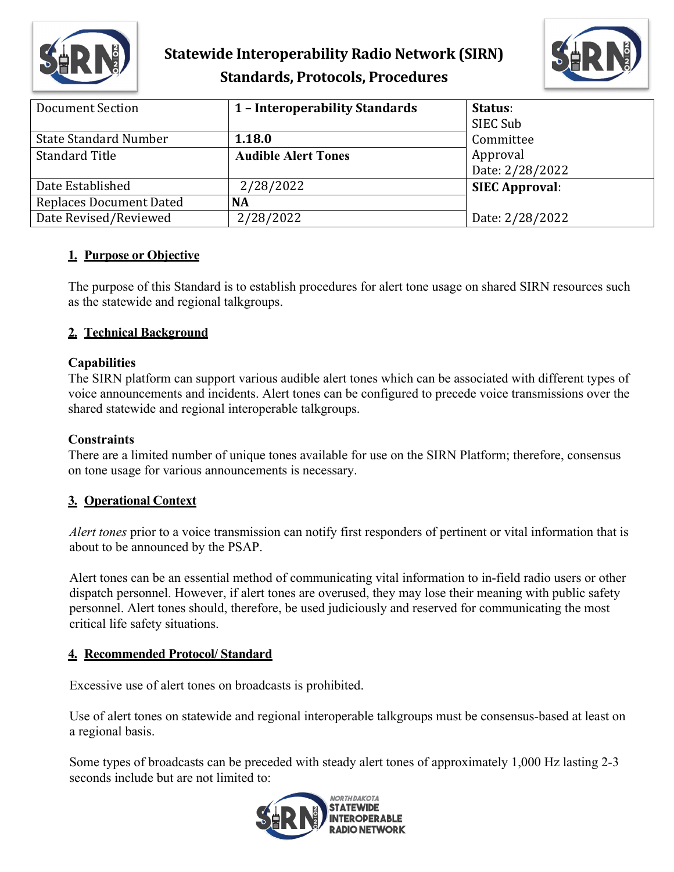

# **Statewide Interoperability Radio Network (SIRN) Standards, Protocols, Procedures**



| Document Section               | 1 - Interoperability Standards | Status:<br>SIEC Sub         |
|--------------------------------|--------------------------------|-----------------------------|
| <b>State Standard Number</b>   | 1.18.0                         | Committee                   |
| <b>Standard Title</b>          | <b>Audible Alert Tones</b>     | Approval<br>Date: 2/28/2022 |
| Date Established               | 2/28/2022                      | <b>SIEC Approval:</b>       |
| <b>Replaces Document Dated</b> | <b>NA</b>                      |                             |
| Date Revised/Reviewed          | 2/28/2022                      | Date: 2/28/2022             |

### **1. Purpose or Objective**

The purpose of this Standard is to establish procedures for alert tone usage on shared SIRN resources such as the statewide and regional talkgroups.

### **2. Technical Background**

#### **Capabilities**

The SIRN platform can support various audible alert tones which can be associated with different types of voice announcements and incidents. Alert tones can be configured to precede voice transmissions over the shared statewide and regional interoperable talkgroups.

#### **Constraints**

There are a limited number of unique tones available for use on the SIRN Platform; therefore, consensus on tone usage for various announcements is necessary.

#### **3. Operational Context**

*Alert tones* prior to a voice transmission can notify first responders of pertinent or vital information that is about to be announced by the PSAP.

Alert tones can be an essential method of communicating vital information to in-field radio users or other dispatch personnel. However, if alert tones are overused, they may lose their meaning with public safety personnel. Alert tones should, therefore, be used judiciously and reserved for communicating the most critical life safety situations.

#### **4. Recommended Protocol/ Standard**

Excessive use of alert tones on broadcasts is prohibited.

Use of alert tones on statewide and regional interoperable talkgroups must be consensus-based at least on a regional basis.

Some types of broadcasts can be preceded with steady alert tones of approximately 1,000 Hz lasting 2-3 seconds include but are not limited to: